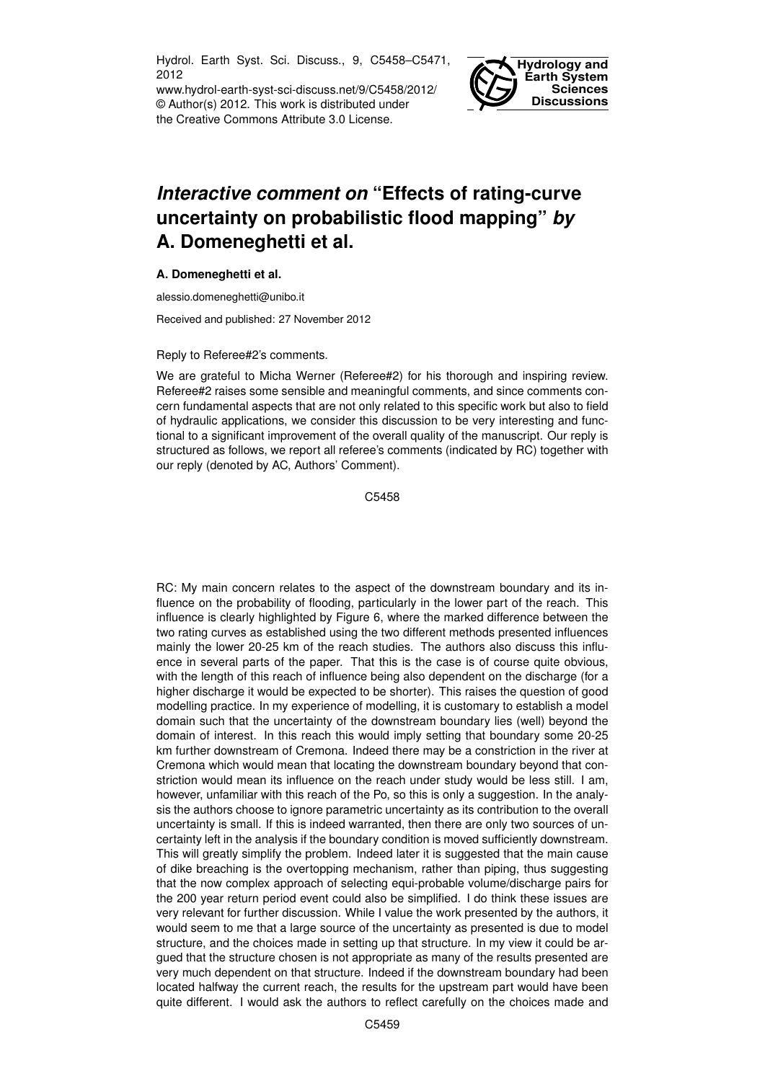Hydrol. Earth Syst. Sci. Discuss., 9, C5458–C5471, 2012

www.hydrol-earth-syst-sci-discuss.net/9/C5458/2012/ © Author(s) 2012. This work is distributed under the Creative Commons Attribute 3.0 License.



## *Interactive comment on* **"Effects of rating-curve uncertainty on probabilistic flood mapping"** *by* **A. Domeneghetti et al.**

## **A. Domeneghetti et al.**

alessio.domeneghetti@unibo.it

Received and published: 27 November 2012

## Reply to Referee#2's comments.

We are grateful to Micha Werner (Referee#2) for his thorough and inspiring review. Referee#2 raises some sensible and meaningful comments, and since comments concern fundamental aspects that are not only related to this specific work but also to field of hydraulic applications, we consider this discussion to be very interesting and functional to a significant improvement of the overall quality of the manuscript. Our reply is structured as follows, we report all referee's comments (indicated by RC) together with our reply (denoted by AC, Authors' Comment).

C5458

RC: My main concern relates to the aspect of the downstream boundary and its influence on the probability of flooding, particularly in the lower part of the reach. This influence is clearly highlighted by Figure 6, where the marked difference between the two rating curves as established using the two different methods presented influences mainly the lower 20-25 km of the reach studies. The authors also discuss this influence in several parts of the paper. That this is the case is of course quite obvious, with the length of this reach of influence being also dependent on the discharge (for a higher discharge it would be expected to be shorter). This raises the question of good modelling practice. In my experience of modelling, it is customary to establish a model domain such that the uncertainty of the downstream boundary lies (well) beyond the domain of interest. In this reach this would imply setting that boundary some 20-25 km further downstream of Cremona. Indeed there may be a constriction in the river at Cremona which would mean that locating the downstream boundary beyond that constriction would mean its influence on the reach under study would be less still. I am, however, unfamiliar with this reach of the Po, so this is only a suggestion. In the analysis the authors choose to ignore parametric uncertainty as its contribution to the overall uncertainty is small. If this is indeed warranted, then there are only two sources of uncertainty left in the analysis if the boundary condition is moved sufficiently downstream. This will greatly simplify the problem. Indeed later it is suggested that the main cause of dike breaching is the overtopping mechanism, rather than piping, thus suggesting that the now complex approach of selecting equi-probable volume/discharge pairs for the 200 year return period event could also be simplified. I do think these issues are very relevant for further discussion. While I value the work presented by the authors, it would seem to me that a large source of the uncertainty as presented is due to model structure, and the choices made in setting up that structure. In my view it could be argued that the structure chosen is not appropriate as many of the results presented are very much dependent on that structure. Indeed if the downstream boundary had been located halfway the current reach, the results for the upstream part would have been quite different. I would ask the authors to reflect carefully on the choices made and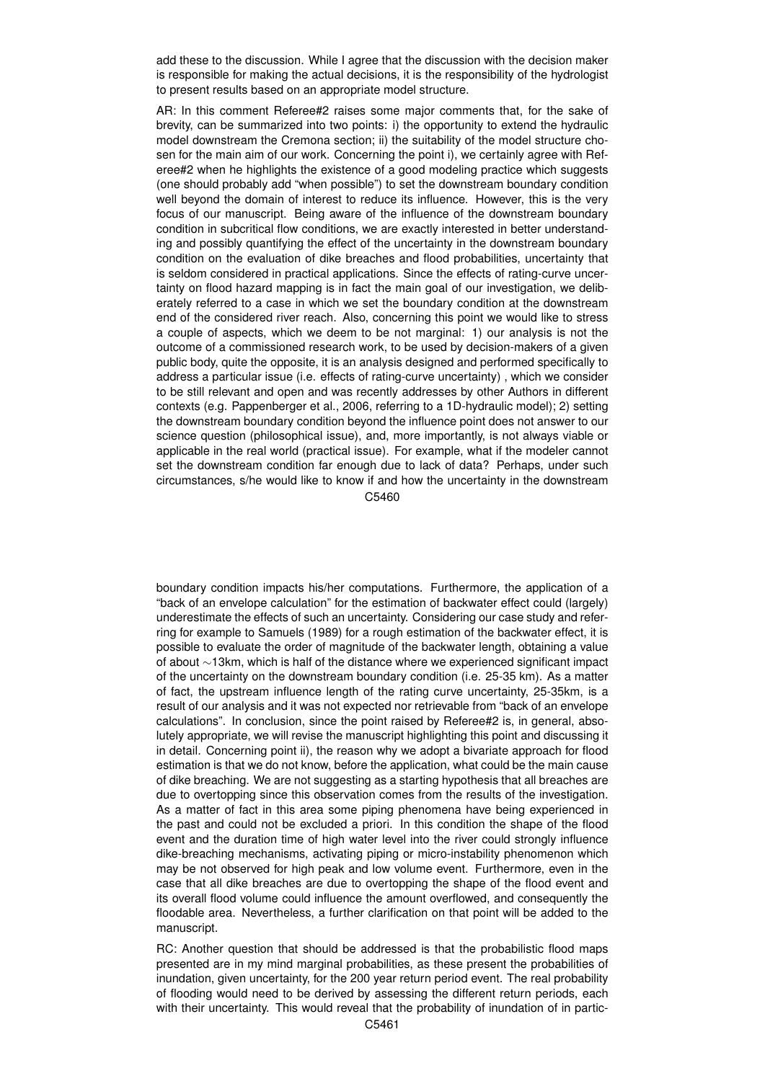add these to the discussion. While I agree that the discussion with the decision maker is responsible for making the actual decisions, it is the responsibility of the hydrologist to present results based on an appropriate model structure.

AR: In this comment Referee#2 raises some major comments that, for the sake of brevity, can be summarized into two points: i) the opportunity to extend the hydraulic model downstream the Cremona section; ii) the suitability of the model structure chosen for the main aim of our work. Concerning the point i), we certainly agree with Referee#2 when he highlights the existence of a good modeling practice which suggests (one should probably add "when possible") to set the downstream boundary condition well beyond the domain of interest to reduce its influence. However, this is the very focus of our manuscript. Being aware of the influence of the downstream boundary condition in subcritical flow conditions, we are exactly interested in better understanding and possibly quantifying the effect of the uncertainty in the downstream boundary condition on the evaluation of dike breaches and flood probabilities, uncertainty that is seldom considered in practical applications. Since the effects of rating-curve uncertainty on flood hazard mapping is in fact the main goal of our investigation, we deliberately referred to a case in which we set the boundary condition at the downstream end of the considered river reach. Also, concerning this point we would like to stress a couple of aspects, which we deem to be not marginal: 1) our analysis is not the outcome of a commissioned research work, to be used by decision-makers of a given public body, quite the opposite, it is an analysis designed and performed specifically to address a particular issue (i.e. effects of rating-curve uncertainty) , which we consider to be still relevant and open and was recently addresses by other Authors in different contexts (e.g. Pappenberger et al., 2006, referring to a 1D-hydraulic model); 2) setting the downstream boundary condition beyond the influence point does not answer to our science question (philosophical issue), and, more importantly, is not always viable or applicable in the real world (practical issue). For example, what if the modeler cannot set the downstream condition far enough due to lack of data? Perhaps, under such circumstances, s/he would like to know if and how the uncertainty in the downstream

C5460

boundary condition impacts his/her computations. Furthermore, the application of a "back of an envelope calculation" for the estimation of backwater effect could (largely) underestimate the effects of such an uncertainty. Considering our case study and referring for example to Samuels (1989) for a rough estimation of the backwater effect, it is possible to evaluate the order of magnitude of the backwater length, obtaining a value of about ∼13km, which is half of the distance where we experienced significant impact of the uncertainty on the downstream boundary condition (i.e. 25-35 km). As a matter of fact, the upstream influence length of the rating curve uncertainty, 25-35km, is a result of our analysis and it was not expected nor retrievable from "back of an envelope calculations". In conclusion, since the point raised by Referee#2 is, in general, absolutely appropriate, we will revise the manuscript highlighting this point and discussing it in detail. Concerning point ii), the reason why we adopt a bivariate approach for flood estimation is that we do not know, before the application, what could be the main cause of dike breaching. We are not suggesting as a starting hypothesis that all breaches are due to overtopping since this observation comes from the results of the investigation. As a matter of fact in this area some piping phenomena have being experienced in the past and could not be excluded a priori. In this condition the shape of the flood event and the duration time of high water level into the river could strongly influence dike-breaching mechanisms, activating piping or micro-instability phenomenon which may be not observed for high peak and low volume event. Furthermore, even in the case that all dike breaches are due to overtopping the shape of the flood event and its overall flood volume could influence the amount overflowed, and consequently the floodable area. Nevertheless, a further clarification on that point will be added to the manuscript.

RC: Another question that should be addressed is that the probabilistic flood maps presented are in my mind marginal probabilities, as these present the probabilities of inundation, given uncertainty, for the 200 year return period event. The real probability of flooding would need to be derived by assessing the different return periods, each with their uncertainty. This would reveal that the probability of inundation of in partic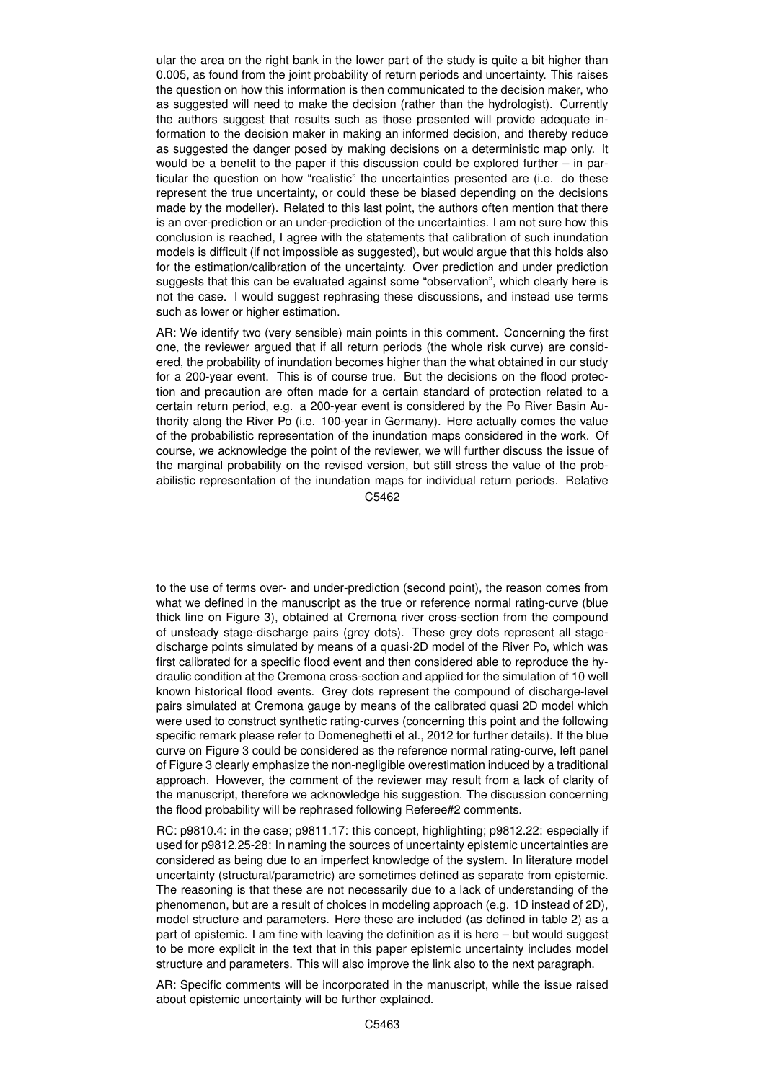ular the area on the right bank in the lower part of the study is quite a bit higher than 0.005, as found from the joint probability of return periods and uncertainty. This raises the question on how this information is then communicated to the decision maker, who as suggested will need to make the decision (rather than the hydrologist). Currently the authors suggest that results such as those presented will provide adequate information to the decision maker in making an informed decision, and thereby reduce as suggested the danger posed by making decisions on a deterministic map only. It would be a benefit to the paper if this discussion could be explored further – in particular the question on how "realistic" the uncertainties presented are (i.e. do these represent the true uncertainty, or could these be biased depending on the decisions made by the modeller). Related to this last point, the authors often mention that there is an over-prediction or an under-prediction of the uncertainties. I am not sure how this conclusion is reached, I agree with the statements that calibration of such inundation models is difficult (if not impossible as suggested), but would argue that this holds also for the estimation/calibration of the uncertainty. Over prediction and under prediction suggests that this can be evaluated against some "observation", which clearly here is not the case. I would suggest rephrasing these discussions, and instead use terms such as lower or higher estimation.

AR: We identify two (very sensible) main points in this comment. Concerning the first one, the reviewer argued that if all return periods (the whole risk curve) are considered, the probability of inundation becomes higher than the what obtained in our study for a 200-year event. This is of course true. But the decisions on the flood protection and precaution are often made for a certain standard of protection related to a certain return period, e.g. a 200-year event is considered by the Po River Basin Authority along the River Po (i.e. 100-year in Germany). Here actually comes the value of the probabilistic representation of the inundation maps considered in the work. Of course, we acknowledge the point of the reviewer, we will further discuss the issue of the marginal probability on the revised version, but still stress the value of the probabilistic representation of the inundation maps for individual return periods. Relative C5462

to the use of terms over- and under-prediction (second point), the reason comes from what we defined in the manuscript as the true or reference normal rating-curve (blue thick line on Figure 3), obtained at Cremona river cross-section from the compound of unsteady stage-discharge pairs (grey dots). These grey dots represent all stagedischarge points simulated by means of a quasi-2D model of the River Po, which was first calibrated for a specific flood event and then considered able to reproduce the hydraulic condition at the Cremona cross-section and applied for the simulation of 10 well known historical flood events. Grey dots represent the compound of discharge-level pairs simulated at Cremona gauge by means of the calibrated quasi 2D model which were used to construct synthetic rating-curves (concerning this point and the following specific remark please refer to Domeneghetti et al., 2012 for further details). If the blue curve on Figure 3 could be considered as the reference normal rating-curve, left panel of Figure 3 clearly emphasize the non-negligible overestimation induced by a traditional approach. However, the comment of the reviewer may result from a lack of clarity of the manuscript, therefore we acknowledge his suggestion. The discussion concerning the flood probability will be rephrased following Referee#2 comments.

RC: p9810.4: in the case; p9811.17: this concept, highlighting; p9812.22: especially if used for p9812.25-28: In naming the sources of uncertainty epistemic uncertainties are considered as being due to an imperfect knowledge of the system. In literature model uncertainty (structural/parametric) are sometimes defined as separate from epistemic. The reasoning is that these are not necessarily due to a lack of understanding of the phenomenon, but are a result of choices in modeling approach (e.g. 1D instead of 2D), model structure and parameters. Here these are included (as defined in table 2) as a part of epistemic. I am fine with leaving the definition as it is here – but would suggest to be more explicit in the text that in this paper epistemic uncertainty includes model structure and parameters. This will also improve the link also to the next paragraph.

AR: Specific comments will be incorporated in the manuscript, while the issue raised about epistemic uncertainty will be further explained.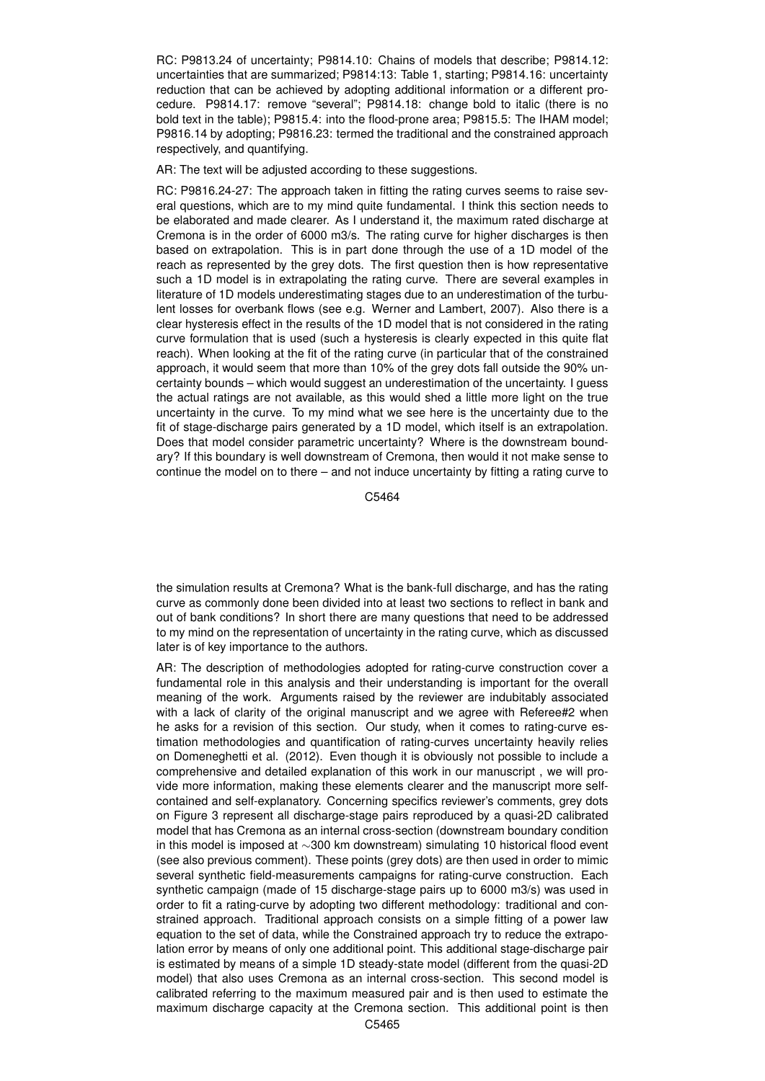RC: P9813.24 of uncertainty; P9814.10: Chains of models that describe; P9814.12: uncertainties that are summarized; P9814:13: Table 1, starting; P9814.16: uncertainty reduction that can be achieved by adopting additional information or a different procedure. P9814.17: remove "several"; P9814.18: change bold to italic (there is no bold text in the table); P9815.4: into the flood-prone area; P9815.5: The IHAM model; P9816.14 by adopting; P9816.23: termed the traditional and the constrained approach respectively, and quantifying.

AR: The text will be adjusted according to these suggestions.

RC: P9816.24-27: The approach taken in fitting the rating curves seems to raise several questions, which are to my mind quite fundamental. I think this section needs to be elaborated and made clearer. As I understand it, the maximum rated discharge at Cremona is in the order of 6000 m3/s. The rating curve for higher discharges is then based on extrapolation. This is in part done through the use of a 1D model of the reach as represented by the grey dots. The first question then is how representative such a 1D model is in extrapolating the rating curve. There are several examples in literature of 1D models underestimating stages due to an underestimation of the turbulent losses for overbank flows (see e.g. Werner and Lambert, 2007). Also there is a clear hysteresis effect in the results of the 1D model that is not considered in the rating curve formulation that is used (such a hysteresis is clearly expected in this quite flat reach). When looking at the fit of the rating curve (in particular that of the constrained approach, it would seem that more than 10% of the grey dots fall outside the 90% uncertainty bounds – which would suggest an underestimation of the uncertainty. I guess the actual ratings are not available, as this would shed a little more light on the true uncertainty in the curve. To my mind what we see here is the uncertainty due to the fit of stage-discharge pairs generated by a 1D model, which itself is an extrapolation. Does that model consider parametric uncertainty? Where is the downstream boundary? If this boundary is well downstream of Cremona, then would it not make sense to continue the model on to there – and not induce uncertainty by fitting a rating curve to

C5464

the simulation results at Cremona? What is the bank-full discharge, and has the rating curve as commonly done been divided into at least two sections to reflect in bank and out of bank conditions? In short there are many questions that need to be addressed to my mind on the representation of uncertainty in the rating curve, which as discussed later is of key importance to the authors.

AR: The description of methodologies adopted for rating-curve construction cover a fundamental role in this analysis and their understanding is important for the overall meaning of the work. Arguments raised by the reviewer are indubitably associated with a lack of clarity of the original manuscript and we agree with Referee#2 when he asks for a revision of this section. Our study, when it comes to rating-curve estimation methodologies and quantification of rating-curves uncertainty heavily relies on Domeneghetti et al. (2012). Even though it is obviously not possible to include a comprehensive and detailed explanation of this work in our manuscript , we will provide more information, making these elements clearer and the manuscript more selfcontained and self-explanatory. Concerning specifics reviewer's comments, grey dots on Figure 3 represent all discharge-stage pairs reproduced by a quasi-2D calibrated model that has Cremona as an internal cross-section (downstream boundary condition in this model is imposed at ∼300 km downstream) simulating 10 historical flood event (see also previous comment). These points (grey dots) are then used in order to mimic several synthetic field-measurements campaigns for rating-curve construction. Each synthetic campaign (made of 15 discharge-stage pairs up to 6000 m3/s) was used in order to fit a rating-curve by adopting two different methodology: traditional and constrained approach. Traditional approach consists on a simple fitting of a power law equation to the set of data, while the Constrained approach try to reduce the extrapolation error by means of only one additional point. This additional stage-discharge pair is estimated by means of a simple 1D steady-state model (different from the quasi-2D model) that also uses Cremona as an internal cross-section. This second model is calibrated referring to the maximum measured pair and is then used to estimate the maximum discharge capacity at the Cremona section. This additional point is then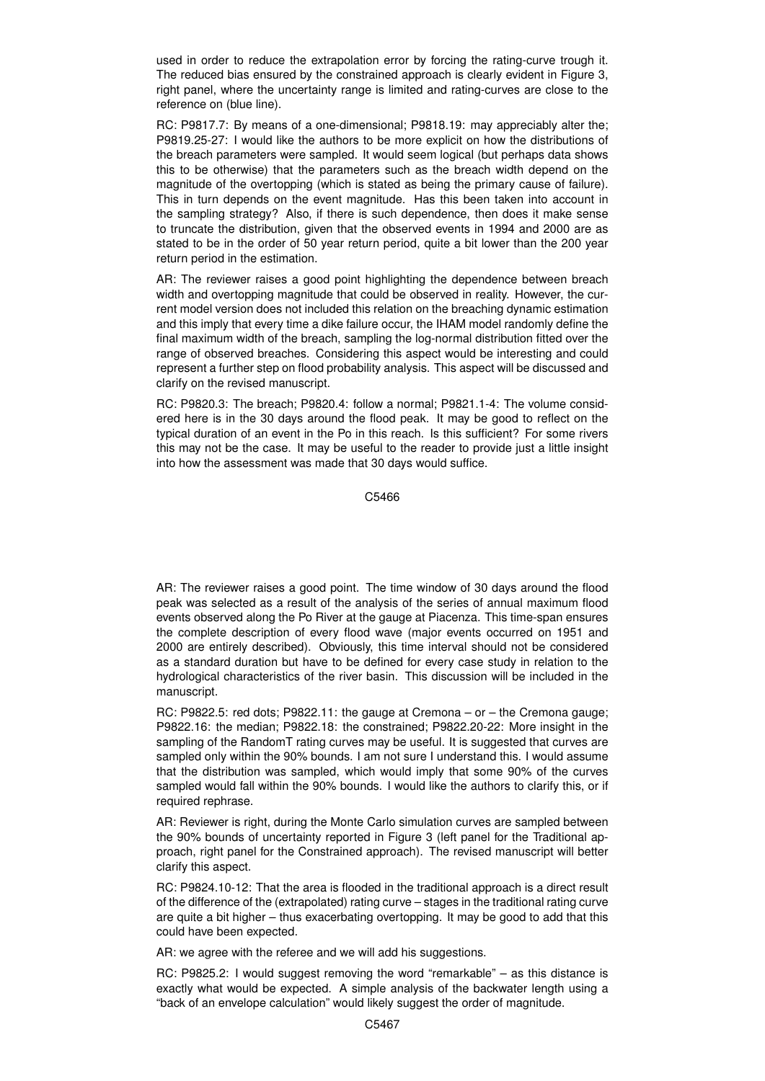used in order to reduce the extrapolation error by forcing the rating-curve trough it. The reduced bias ensured by the constrained approach is clearly evident in Figure 3, right panel, where the uncertainty range is limited and rating-curves are close to the reference on (blue line).

RC: P9817.7: By means of a one-dimensional; P9818.19: may appreciably alter the; P9819.25-27: I would like the authors to be more explicit on how the distributions of the breach parameters were sampled. It would seem logical (but perhaps data shows this to be otherwise) that the parameters such as the breach width depend on the magnitude of the overtopping (which is stated as being the primary cause of failure). This in turn depends on the event magnitude. Has this been taken into account in the sampling strategy? Also, if there is such dependence, then does it make sense to truncate the distribution, given that the observed events in 1994 and 2000 are as stated to be in the order of 50 year return period, quite a bit lower than the 200 year return period in the estimation.

AR: The reviewer raises a good point highlighting the dependence between breach width and overtopping magnitude that could be observed in reality. However, the current model version does not included this relation on the breaching dynamic estimation and this imply that every time a dike failure occur, the IHAM model randomly define the final maximum width of the breach, sampling the log-normal distribution fitted over the range of observed breaches. Considering this aspect would be interesting and could represent a further step on flood probability analysis. This aspect will be discussed and clarify on the revised manuscript.

RC: P9820.3: The breach; P9820.4: follow a normal; P9821.1-4: The volume considered here is in the 30 days around the flood peak. It may be good to reflect on the typical duration of an event in the Po in this reach. Is this sufficient? For some rivers this may not be the case. It may be useful to the reader to provide just a little insight into how the assessment was made that 30 days would suffice.

C5466

AR: The reviewer raises a good point. The time window of 30 days around the flood peak was selected as a result of the analysis of the series of annual maximum flood events observed along the Po River at the gauge at Piacenza. This time-span ensures the complete description of every flood wave (major events occurred on 1951 and 2000 are entirely described). Obviously, this time interval should not be considered as a standard duration but have to be defined for every case study in relation to the hydrological characteristics of the river basin. This discussion will be included in the manuscript.

RC: P9822.5: red dots; P9822.11: the gauge at Cremona – or – the Cremona gauge; P9822.16: the median; P9822.18: the constrained; P9822.20-22: More insight in the sampling of the RandomT rating curves may be useful. It is suggested that curves are sampled only within the 90% bounds. I am not sure I understand this. I would assume that the distribution was sampled, which would imply that some 90% of the curves sampled would fall within the 90% bounds. I would like the authors to clarify this, or if required rephrase.

AR: Reviewer is right, during the Monte Carlo simulation curves are sampled between the 90% bounds of uncertainty reported in Figure 3 (left panel for the Traditional approach, right panel for the Constrained approach). The revised manuscript will better clarify this aspect.

RC: P9824.10-12: That the area is flooded in the traditional approach is a direct result of the difference of the (extrapolated) rating curve – stages in the traditional rating curve are quite a bit higher – thus exacerbating overtopping. It may be good to add that this could have been expected.

AR: we agree with the referee and we will add his suggestions.

RC: P9825.2: I would suggest removing the word "remarkable" – as this distance is exactly what would be expected. A simple analysis of the backwater length using a "back of an envelope calculation" would likely suggest the order of magnitude.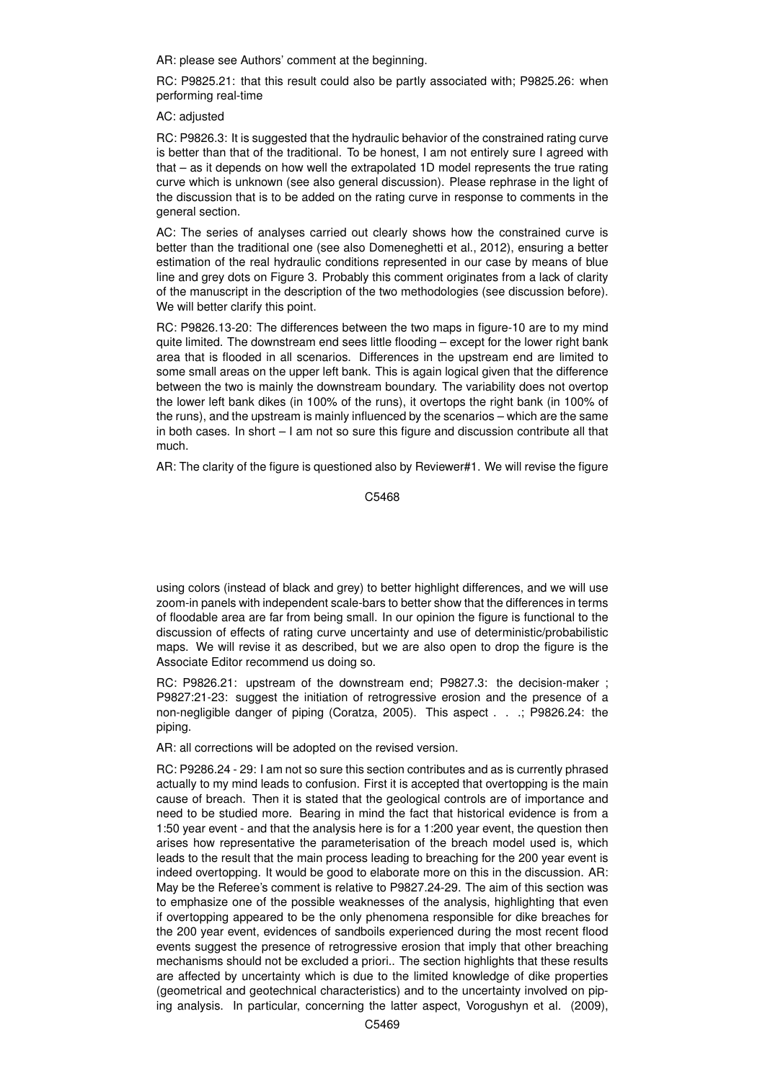AR: please see Authors' comment at the beginning.

RC: P9825.21: that this result could also be partly associated with; P9825.26: when performing real-time

AC: adjusted

RC: P9826.3: It is suggested that the hydraulic behavior of the constrained rating curve is better than that of the traditional. To be honest, I am not entirely sure I agreed with that – as it depends on how well the extrapolated 1D model represents the true rating curve which is unknown (see also general discussion). Please rephrase in the light of the discussion that is to be added on the rating curve in response to comments in the general section.

AC: The series of analyses carried out clearly shows how the constrained curve is better than the traditional one (see also Domeneghetti et al., 2012), ensuring a better estimation of the real hydraulic conditions represented in our case by means of blue line and grey dots on Figure 3. Probably this comment originates from a lack of clarity of the manuscript in the description of the two methodologies (see discussion before). We will better clarify this point.

RC: P9826.13-20: The differences between the two maps in figure-10 are to my mind quite limited. The downstream end sees little flooding – except for the lower right bank area that is flooded in all scenarios. Differences in the upstream end are limited to some small areas on the upper left bank. This is again logical given that the difference between the two is mainly the downstream boundary. The variability does not overtop the lower left bank dikes (in 100% of the runs), it overtops the right bank (in 100% of the runs), and the upstream is mainly influenced by the scenarios – which are the same in both cases. In short – I am not so sure this figure and discussion contribute all that much.

AR: The clarity of the figure is questioned also by Reviewer#1. We will revise the figure

C5468

using colors (instead of black and grey) to better highlight differences, and we will use zoom-in panels with independent scale-bars to better show that the differences in terms of floodable area are far from being small. In our opinion the figure is functional to the discussion of effects of rating curve uncertainty and use of deterministic/probabilistic maps. We will revise it as described, but we are also open to drop the figure is the Associate Editor recommend us doing so.

RC: P9826.21: upstream of the downstream end; P9827.3: the decision-maker ; P9827:21-23: suggest the initiation of retrogressive erosion and the presence of a non-negligible danger of piping (Coratza, 2005). This aspect . . .; P9826.24: the piping.

AR: all corrections will be adopted on the revised version.

RC: P9286.24 - 29: I am not so sure this section contributes and as is currently phrased actually to my mind leads to confusion. First it is accepted that overtopping is the main cause of breach. Then it is stated that the geological controls are of importance and need to be studied more. Bearing in mind the fact that historical evidence is from a 1:50 year event - and that the analysis here is for a 1:200 year event, the question then arises how representative the parameterisation of the breach model used is, which leads to the result that the main process leading to breaching for the 200 year event is indeed overtopping. It would be good to elaborate more on this in the discussion. AR: May be the Referee's comment is relative to P9827.24-29. The aim of this section was to emphasize one of the possible weaknesses of the analysis, highlighting that even if overtopping appeared to be the only phenomena responsible for dike breaches for the 200 year event, evidences of sandboils experienced during the most recent flood events suggest the presence of retrogressive erosion that imply that other breaching mechanisms should not be excluded a priori.. The section highlights that these results are affected by uncertainty which is due to the limited knowledge of dike properties (geometrical and geotechnical characteristics) and to the uncertainty involved on piping analysis. In particular, concerning the latter aspect, Vorogushyn et al. (2009),